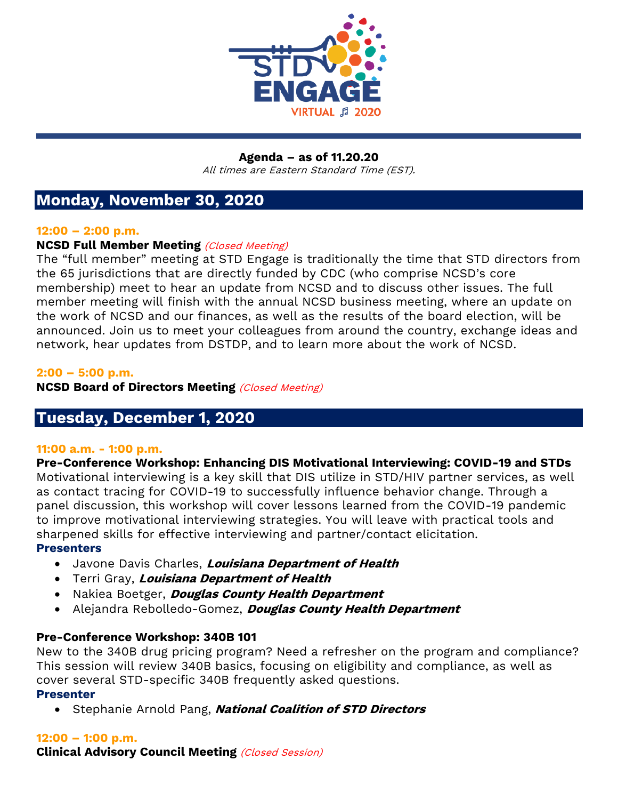

#### **Agenda – as of 11.20.20** All times are Eastern Standard Time (EST).

# **Monday, November 30, 2020**

## **12:00 – 2:00 p.m.**

# **NCSD Full Member Meeting** (Closed Meeting)

The "full member" meeting at STD Engage is traditionally the time that STD directors from the 65 jurisdictions that are directly funded by CDC (who comprise NCSD's core membership) meet to hear an update from NCSD and to discuss other issues. The full member meeting will finish with the annual NCSD business meeting, where an update on the work of NCSD and our finances, as well as the results of the board election, will be announced. Join us to meet your colleagues from around the country, exchange ideas and network, hear updates from DSTDP, and to learn more about the work of NCSD.

## **2:00 – 5:00 p.m.**

**NCSD Board of Directors Meeting (Closed Meeting)** 

# **Tuesday, December 1, 2020**

# **11:00 a.m. - 1:00 p.m.**

**Pre-Conference Workshop: Enhancing DIS Motivational Interviewing: COVID-19 and STDs** Motivational interviewing is a key skill that DIS utilize in STD/HIV partner services, as well as contact tracing for COVID-19 to successfully influence behavior change. Through a panel discussion, this workshop will cover lessons learned from the COVID-19 pandemic to improve motivational interviewing strategies. You will leave with practical tools and sharpened skills for effective interviewing and partner/contact elicitation.

# **Presenters**

- Javone Davis Charles, **Louisiana Department of Health**
- Terri Gray, **Louisiana Department of Health**
- Nakiea Boetger, **Douglas County Health Department**
- Alejandra Rebolledo-Gomez, **Douglas County Health Department**

# **Pre-Conference Workshop: 340B 101**

New to the 340B drug pricing program? Need a refresher on the program and compliance? This session will review 340B basics, focusing on eligibility and compliance, as well as cover several STD-specific 340B frequently asked questions.

## **Presenter**

• Stephanie Arnold Pang, **National Coalition of STD Directors**

# **12:00 – 1:00 p.m.**

**Clinical Advisory Council Meeting** (Closed Session)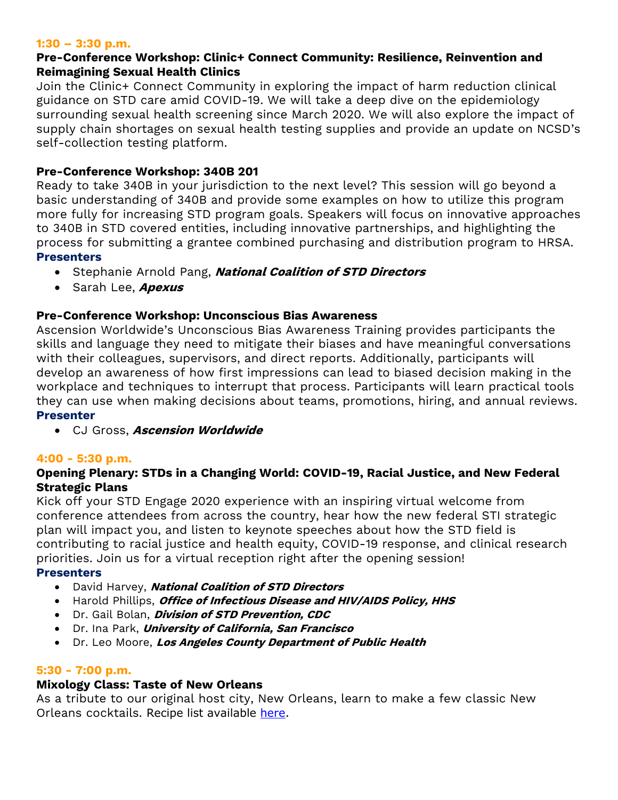### **1:30 – 3:30 p.m.**

# **Pre-Conference Workshop: Clinic+ Connect Community: Resilience, Reinvention and Reimagining Sexual Health Clinics**

Join the Clinic+ Connect Community in exploring the impact of harm reduction clinical guidance on STD care amid COVID-19. We will take a deep dive on the epidemiology surrounding sexual health screening since March 2020. We will also explore the impact of supply chain shortages on sexual health testing supplies and provide an update on NCSD's self-collection testing platform.

# **Pre-Conference Workshop: 340B 201**

Ready to take 340B in your jurisdiction to the next level? This session will go beyond a basic understanding of 340B and provide some examples on how to utilize this program more fully for increasing STD program goals. Speakers will focus on innovative approaches to 340B in STD covered entities, including innovative partnerships, and highlighting the process for submitting a grantee combined purchasing and distribution program to HRSA. **Presenters**

- Stephanie Arnold Pang, **National Coalition of STD Directors**
- Sarah Lee, **Apexus**

# **Pre-Conference Workshop: Unconscious Bias Awareness**

Ascension Worldwide's Unconscious Bias Awareness Training provides participants the skills and language they need to mitigate their biases and have meaningful conversations with their colleagues, supervisors, and direct reports. Additionally, participants will develop an awareness of how first impressions can lead to biased decision making in the workplace and techniques to interrupt that process. Participants will learn practical tools they can use when making decisions about teams, promotions, hiring, and annual reviews. **Presenter**

• CJ Gross, **Ascension Worldwide**

## **4:00 - 5:30 p.m.**

# **Opening Plenary: STDs in a Changing World: COVID-19, Racial Justice, and New Federal Strategic Plans**

Kick off your STD Engage 2020 experience with an inspiring virtual welcome from conference attendees from across the country, hear how the new federal STI strategic plan will impact you, and listen to keynote speeches about how the STD field is contributing to racial justice and health equity, COVID-19 response, and clinical research priorities. Join us for a virtual reception right after the opening session!

## **Presenters**

- David Harvey, **National Coalition of STD Directors**
- Harold Phillips, **Office of Infectious Disease and HIV/AIDS Policy, HHS**
- Dr. Gail Bolan, **Division of STD Prevention, CDC**
- Dr. Ina Park, **University of California, San Francisco**
- Dr. Leo Moore, **Los Angeles County Department of Public Health**

## **5:30 - 7:00 p.m.**

## **Mixology Class: Taste of New Orleans**

As a tribute to our original host city, New Orleans, learn to make a few classic New Orleans cocktails. Recipe list available [here.](https://s6.goeshow.com/ncsd/engage/2020/documents/STD_Engage_-_Mixology_Class_eBook.pdf)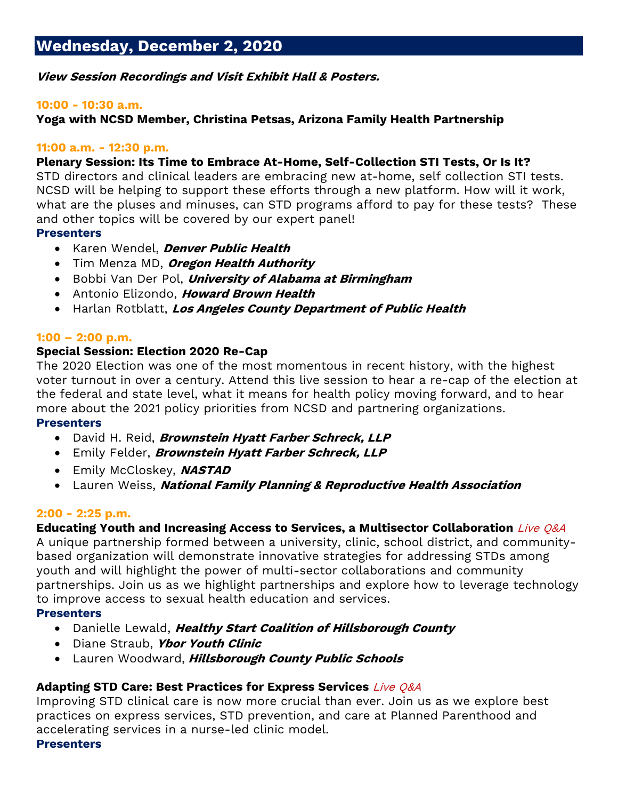**View Session Recordings and Visit Exhibit Hall & Posters.**

## **10:00 - 10:30 a.m.**

**Yoga with NCSD Member, Christina Petsas, Arizona Family Health Partnership**

## **11:00 a.m. - 12:30 p.m.**

# **Plenary Session: Its Time to Embrace At-Home, Self-Collection STI Tests, Or Is It?**

STD directors and clinical leaders are embracing new at-home, self collection STI tests. NCSD will be helping to support these efforts through a new platform. How will it work, what are the pluses and minuses, can STD programs afford to pay for these tests? These and other topics will be covered by our expert panel!

# **Presenters**

- Karen Wendel, **Denver Public Health**
- Tim Menza MD, **Oregon Health Authority**
- Bobbi Van Der Pol, **University of Alabama at Birmingham**
- Antonio Elizondo, **Howard Brown Health**
- Harlan Rotblatt, **Los Angeles County Department of Public Health**

## **1:00 – 2:00 p.m.**

# **Special Session: Election 2020 Re-Cap**

The 2020 Election was one of the most momentous in recent history, with the highest voter turnout in over a century. Attend this live session to hear a re-cap of the election at the federal and state level, what it means for health policy moving forward, and to hear more about the 2021 policy priorities from NCSD and partnering organizations.

# **Presenters**

- David H. Reid, **Brownstein Hyatt Farber Schreck, LLP**
- Emily Felder, **Brownstein Hyatt Farber Schreck, LLP**
- Emily McCloskey, **NASTAD**
- Lauren Weiss, **National Family Planning & Reproductive Health Association**

# **2:00 - 2:25 p.m.**

# **Educating Youth and Increasing Access to Services, a Multisector Collaboration** Live Q&A

A unique partnership formed between a university, clinic, school district, and communitybased organization will demonstrate innovative strategies for addressing STDs among youth and will highlight the power of multi-sector collaborations and community partnerships. Join us as we highlight partnerships and explore how to leverage technology to improve access to sexual health education and services.

# **Presenters**

- Danielle Lewald, **Healthy Start Coalition of Hillsborough County**
- Diane Straub, **Ybor Youth Clinic**
- Lauren Woodward, **Hillsborough County Public Schools**

# **Adapting STD Care: Best Practices for Express Services** Live Q&A

Improving STD clinical care is now more crucial than ever. Join us as we explore best practices on express services, STD prevention, and care at Planned Parenthood and accelerating services in a nurse-led clinic model. **Presenters**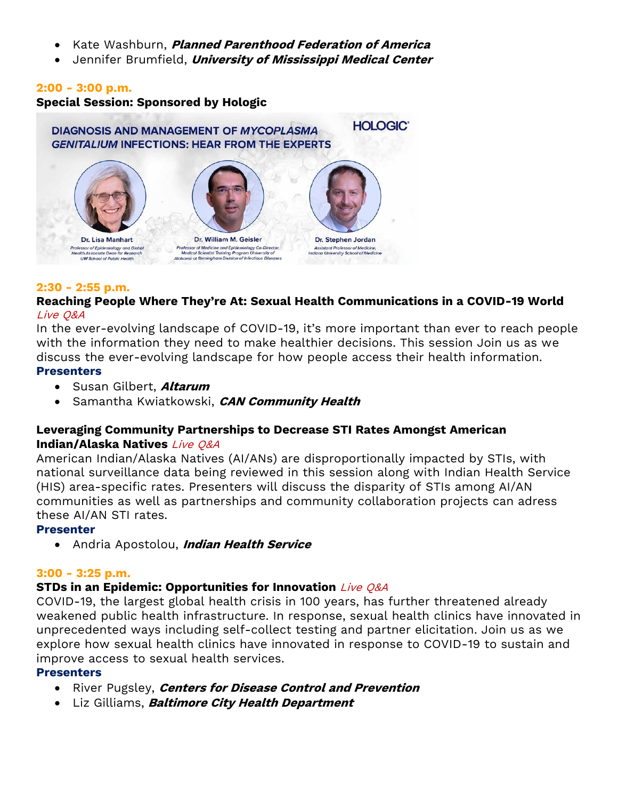- Kate Washburn, **Planned Parenthood Federation of America**
- Jennifer Brumfield, **University of Mississippi Medical Center**

## **2:00 - 3:00 p.m.**

**Special Session: Sponsored by Hologic**



### **2:30 - 2:55 p.m.**

## **Reaching People Where They're At: Sexual Health Communications in a COVID-19 World** Live Q&A

In the ever-evolving landscape of COVID-19, it's more important than ever to reach people with the information they need to make healthier decisions. This session Join us as we discuss the ever-evolving landscape for how people access their health information. **Presenters**

- Susan Gilbert, **Altarum**
- Samantha Kwiatkowski, **CAN Community Health**

# **Leveraging Community Partnerships to Decrease STI Rates Amongst American Indian/Alaska Natives** Live Q&A

American Indian/Alaska Natives (AI/ANs) are disproportionally impacted by STIs, with national surveillance data being reviewed in this session along with Indian Health Service (HIS) area-specific rates. Presenters will discuss the disparity of STIs among AI/AN communities as well as partnerships and community collaboration projects can adress these AI/AN STI rates.

# **Presenter**

• Andria Apostolou, **Indian Health Service**

## **3:00 - 3:25 p.m.**

# **STDs in an Epidemic: Opportunities for Innovation** Live Q&A

COVID-19, the largest global health crisis in 100 years, has further threatened already weakened public health infrastructure. In response, sexual health clinics have innovated in unprecedented ways including self-collect testing and partner elicitation. Join us as we explore how sexual health clinics have innovated in response to COVID-19 to sustain and improve access to sexual health services.

## **Presenters**

- River Pugsley, **Centers for Disease Control and Prevention**
- Liz Gilliams, **Baltimore City Health Department**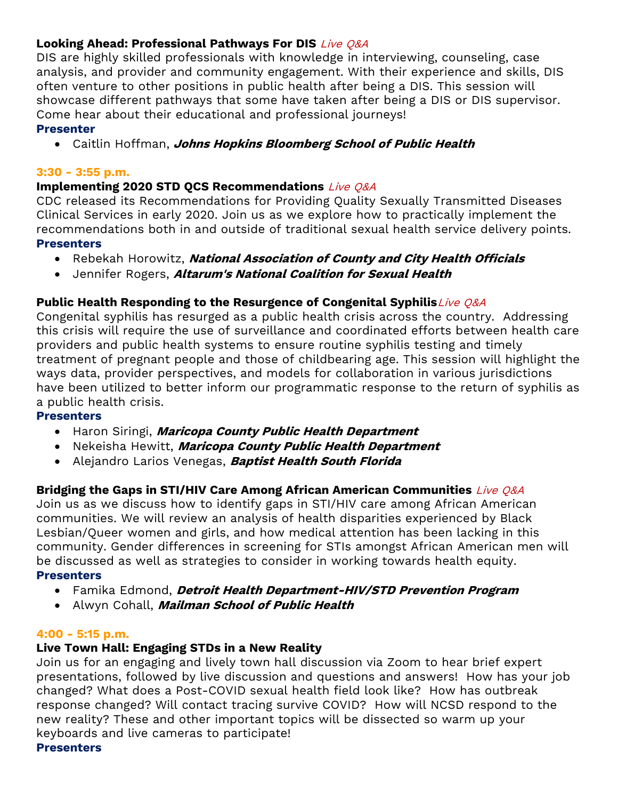# **Looking Ahead: Professional Pathways For DIS** Live Q&A

DIS are highly skilled professionals with knowledge in interviewing, counseling, case analysis, and provider and community engagement. With their experience and skills, DIS often venture to other positions in public health after being a DIS. This session will showcase different pathways that some have taken after being a DIS or DIS supervisor. Come hear about their educational and professional journeys!

# **Presenter**

• Caitlin Hoffman, **Johns Hopkins Bloomberg School of Public Health**

# **3:30 - 3:55 p.m.**

# **Implementing 2020 STD QCS Recommendations** Live Q&A

CDC released its Recommendations for Providing Quality Sexually Transmitted Diseases Clinical Services in early 2020. Join us as we explore how to practically implement the recommendations both in and outside of traditional sexual health service delivery points. **Presenters**

- Rebekah Horowitz, **National Association of County and City Health Officials**
- Jennifer Rogers, **Altarum's National Coalition for Sexual Health**

# **Public Health Responding to the Resurgence of Congenital Syphilis**Live Q&A

Congenital syphilis has resurged as a public health crisis across the country. Addressing this crisis will require the use of surveillance and coordinated efforts between health care providers and public health systems to ensure routine syphilis testing and timely treatment of pregnant people and those of childbearing age. This session will highlight the ways data, provider perspectives, and models for collaboration in various jurisdictions have been utilized to better inform our programmatic response to the return of syphilis as a public health crisis.

## **Presenters**

- Haron Siringi, **Maricopa County Public Health Department**
- Nekeisha Hewitt, **Maricopa County Public Health Department**
- Alejandro Larios Venegas, **Baptist Health South Florida**

# **Bridging the Gaps in STI/HIV Care Among African American Communities** Live Q&A

Join us as we discuss how to identify gaps in STI/HIV care among African American communities. We will review an analysis of health disparities experienced by Black Lesbian/Queer women and girls, and how medical attention has been lacking in this community. Gender differences in screening for STIs amongst African American men will be discussed as well as strategies to consider in working towards health equity. **Presenters**

- Famika Edmond, **Detroit Health Department-HIV/STD Prevention Program**
- Alwyn Cohall, **Mailman School of Public Health**

# **4:00 - 5:15 p.m.**

# **Live Town Hall: Engaging STDs in a New Reality**

Join us for an engaging and lively town hall discussion via Zoom to hear brief expert presentations, followed by live discussion and questions and answers! How has your job changed? What does a Post-COVID sexual health field look like? How has outbreak response changed? Will contact tracing survive COVID? How will NCSD respond to the new reality? These and other important topics will be dissected so warm up your keyboards and live cameras to participate!

## **Presenters**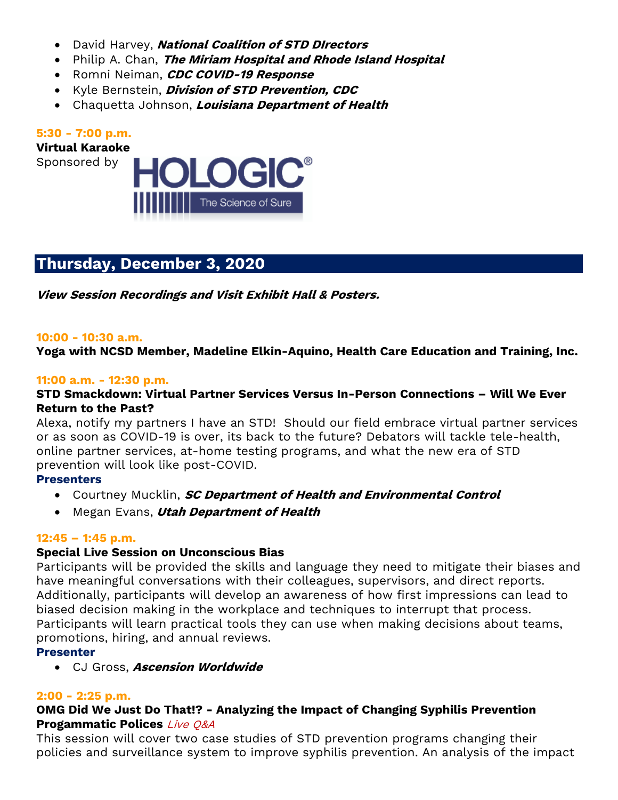- David Harvey, **National Coalition of STD DIrectors**
- Philip A. Chan, **The Miriam Hospital and Rhode Island Hospital**
- Romni Neiman, **CDC COVID-19 Response**
- Kyle Bernstein, **Division of STD Prevention, CDC**
- Chaquetta Johnson, **Louisiana Department of Health**

# **5:30 - 7:00 p.m.**

**Virtual Karaoke**

Sponsored by



# **Thursday, December 3, 2020**

**View Session Recordings and Visit Exhibit Hall & Posters.**

### **10:00 - 10:30 a.m.**

**Yoga with NCSD Member, Madeline Elkin-Aquino, Health Care Education and Training, Inc.**

## **11:00 a.m. - 12:30 p.m.**

## **STD Smackdown: Virtual Partner Services Versus In-Person Connections – Will We Ever Return to the Past?**

Alexa, notify my partners I have an STD! Should our field embrace virtual partner services or as soon as COVID-19 is over, its back to the future? Debators will tackle tele-health, online partner services, at-home testing programs, and what the new era of STD prevention will look like post-COVID.

## **Presenters**

- Courtney Mucklin, **SC Department of Health and Environmental Control**
- Megan Evans, **Utah Department of Health**

## **12:45 – 1:45 p.m.**

# **Special Live Session on Unconscious Bias**

Participants will be provided the skills and language they need to mitigate their biases and have meaningful conversations with their colleagues, supervisors, and direct reports. Additionally, participants will develop an awareness of how first impressions can lead to biased decision making in the workplace and techniques to interrupt that process. Participants will learn practical tools they can use when making decisions about teams, promotions, hiring, and annual reviews.

## **Presenter**

• CJ Gross, **Ascension Worldwide**

## **2:00 - 2:25 p.m.**

# **OMG Did We Just Do That!? - Analyzing the Impact of Changing Syphilis Prevention Progammatic Polices** Live Q&A

This session will cover two case studies of STD prevention programs changing their policies and surveillance system to improve syphilis prevention. An analysis of the impact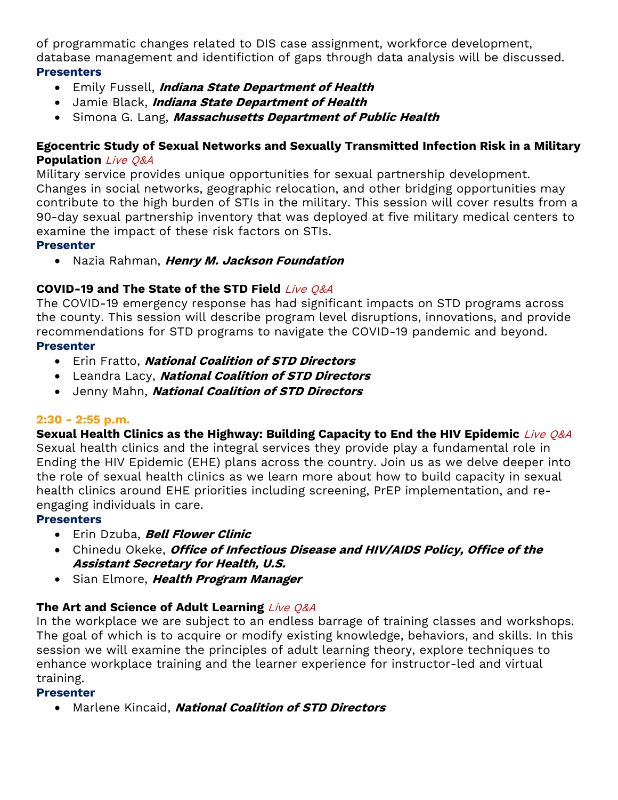of programmatic changes related to DIS case assignment, workforce development, database management and identifiction of gaps through data analysis will be discussed. **Presenters**

- Emily Fussell, **Indiana State Department of Health**
- Jamie Black, **Indiana State Department of Health**
- Simona G. Lang, **Massachusetts Department of Public Health**

# **Egocentric Study of Sexual Networks and Sexually Transmitted Infection Risk in a Military Population** Live Q&A

Military service provides unique opportunities for sexual partnership development. Changes in social networks, geographic relocation, and other bridging opportunities may contribute to the high burden of STIs in the military. This session will cover results from a 90-day sexual partnership inventory that was deployed at five military medical centers to examine the impact of these risk factors on STIs.

# **Presenter**

• Nazia Rahman, **Henry M. Jackson Foundation**

# **COVID-19 and The State of the STD Field** Live Q&A

The COVID-19 emergency response has had significant impacts on STD programs across the county. This session will describe program level disruptions, innovations, and provide recommendations for STD programs to navigate the COVID-19 pandemic and beyond. **Presenter**

- Erin Fratto, **National Coalition of STD Directors**
- Leandra Lacy, **National Coalition of STD Directors**
- Jenny Mahn, **National Coalition of STD Directors**

# **2:30 - 2:55 p.m.**

**Sexual Health Clinics as the Highway: Building Capacity to End the HIV Epidemic** Live Q&A Sexual health clinics and the integral services they provide play a fundamental role in Ending the HIV Epidemic (EHE) plans across the country. Join us as we delve deeper into the role of sexual health clinics as we learn more about how to build capacity in sexual health clinics around EHE priorities including screening, PrEP implementation, and reengaging individuals in care.

# **Presenters**

- Erin Dzuba, **Bell Flower Clinic**
- Chinedu Okeke, **Office of Infectious Disease and HIV/AIDS Policy, Office of the Assistant Secretary for Health, U.S.**
- Sian Elmore, **Health Program Manager**

# **The Art and Science of Adult Learning** Live Q&A

In the workplace we are subject to an endless barrage of training classes and workshops. The goal of which is to acquire or modify existing knowledge, behaviors, and skills. In this session we will examine the principles of adult learning theory, explore techniques to enhance workplace training and the learner experience for instructor-led and virtual training.

# **Presenter**

• Marlene Kincaid, **National Coalition of STD Directors**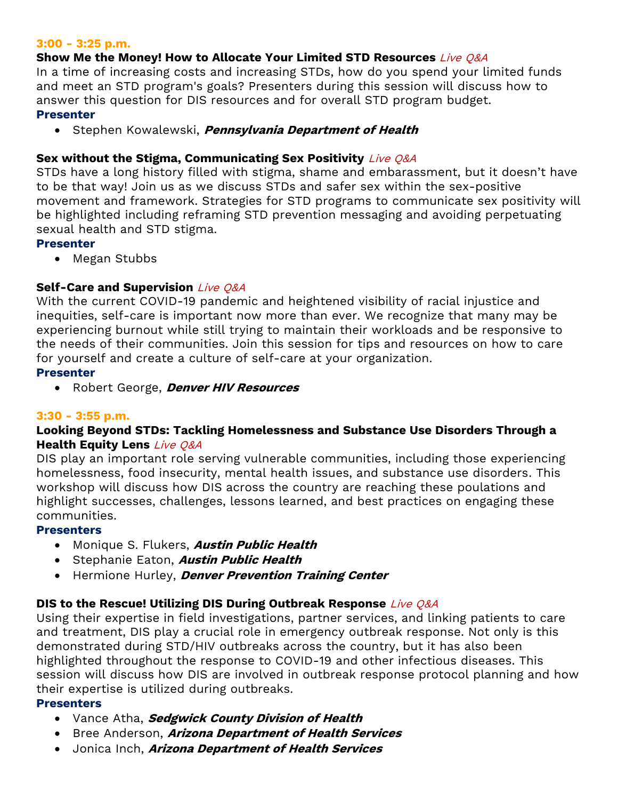## **3:00 - 3:25 p.m.**

## **Show Me the Money! How to Allocate Your Limited STD Resources** Live Q&A

In a time of increasing costs and increasing STDs, how do you spend your limited funds and meet an STD program's goals? Presenters during this session will discuss how to answer this question for DIS resources and for overall STD program budget.

## **Presenter**

• Stephen Kowalewski, **Pennsylvania Department of Health**

## **Sex without the Stigma, Communicating Sex Positivity** Live Q&A

STDs have a long history filled with stigma, shame and embarassment, but it doesn't have to be that way! Join us as we discuss STDs and safer sex within the sex-positive movement and framework. Strategies for STD programs to communicate sex positivity will be highlighted including reframing STD prevention messaging and avoiding perpetuating sexual health and STD stigma.

### **Presenter**

• Megan Stubbs

# **Self-Care and Supervision** Live Q&A

With the current COVID-19 pandemic and heightened visibility of racial injustice and inequities, self-care is important now more than ever. We recognize that many may be experiencing burnout while still trying to maintain their workloads and be responsive to the needs of their communities. Join this session for tips and resources on how to care for yourself and create a culture of self-care at your organization.

## **Presenter**

• Robert George, **Denver HIV Resources**

## **3:30 - 3:55 p.m.**

# **Looking Beyond STDs: Tackling Homelessness and Substance Use Disorders Through a Health Equity Lens** Live Q&A

DIS play an important role serving vulnerable communities, including those experiencing homelessness, food insecurity, mental health issues, and substance use disorders. This workshop will discuss how DIS across the country are reaching these poulations and highlight successes, challenges, lessons learned, and best practices on engaging these communities.

## **Presenters**

- Monique S. Flukers, **Austin Public Health**
- Stephanie Eaton, **Austin Public Health**
- Hermione Hurley, **Denver Prevention Training Center**

# **DIS to the Rescue! Utilizing DIS During Outbreak Response** Live Q&A

Using their expertise in field investigations, partner services, and linking patients to care and treatment, DIS play a crucial role in emergency outbreak response. Not only is this demonstrated during STD/HIV outbreaks across the country, but it has also been highlighted throughout the response to COVID-19 and other infectious diseases. This session will discuss how DIS are involved in outbreak response protocol planning and how their expertise is utilized during outbreaks.

## **Presenters**

- Vance Atha, **Sedgwick County Division of Health**
- Bree Anderson, **Arizona Department of Health Services**
- Jonica Inch, **Arizona Department of Health Services**